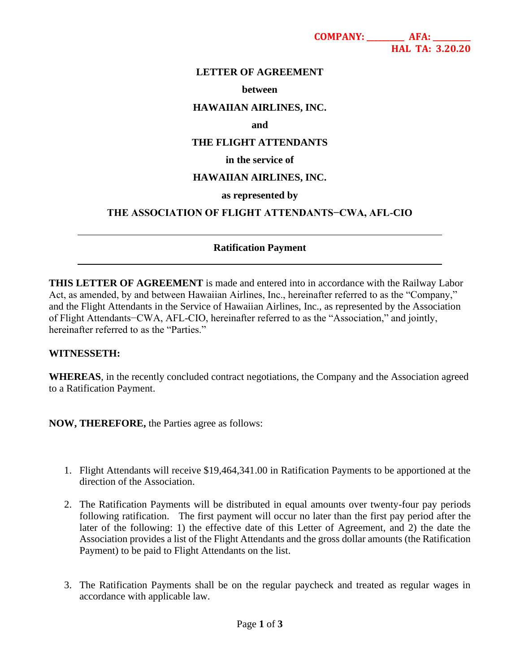**COMPANY: \_\_\_\_\_\_\_\_\_\_ AFA: \_\_\_\_\_\_\_\_\_\_ HAL TA: 3.20.20**

# **LETTER OF AGREEMENT**

#### **between**

### **HAWAIIAN AIRLINES, INC.**

#### **and**

# **THE FLIGHT ATTENDANTS**

# **in the service of**

# **HAWAIIAN AIRLINES, INC.**

### **as represented by**

### **THE ASSOCIATION OF FLIGHT ATTENDANTS−CWA, AFL-CIO**

## **Ratification Payment**

**THIS LETTER OF AGREEMENT** is made and entered into in accordance with the Railway Labor Act, as amended, by and between Hawaiian Airlines, Inc., hereinafter referred to as the "Company," and the Flight Attendants in the Service of Hawaiian Airlines, Inc., as represented by the Association of Flight Attendants−CWA, AFL-CIO, hereinafter referred to as the "Association," and jointly, hereinafter referred to as the "Parties."

#### **WITNESSETH:**

l

l

**WHEREAS**, in the recently concluded contract negotiations, the Company and the Association agreed to a Ratification Payment.

**NOW, THEREFORE,** the Parties agree as follows:

- 1. Flight Attendants will receive \$19,464,341.00 in Ratification Payments to be apportioned at the direction of the Association.
- 2. The Ratification Payments will be distributed in equal amounts over twenty-four pay periods following ratification. The first payment will occur no later than the first pay period after the later of the following: 1) the effective date of this Letter of Agreement, and 2) the date the Association provides a list of the Flight Attendants and the gross dollar amounts (the Ratification Payment) to be paid to Flight Attendants on the list.
- 3. The Ratification Payments shall be on the regular paycheck and treated as regular wages in accordance with applicable law.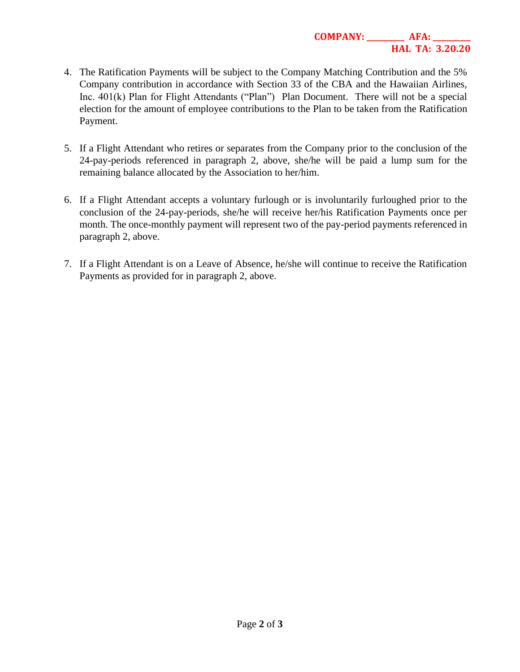- 4. The Ratification Payments will be subject to the Company Matching Contribution and the 5% Company contribution in accordance with Section 33 of the CBA and the Hawaiian Airlines, Inc. 401(k) Plan for Flight Attendants ("Plan") Plan Document. There will not be a special election for the amount of employee contributions to the Plan to be taken from the Ratification Payment.
- 5. If a Flight Attendant who retires or separates from the Company prior to the conclusion of the 24-pay-periods referenced in paragraph 2, above, she/he will be paid a lump sum for the remaining balance allocated by the Association to her/him.
- 6. If a Flight Attendant accepts a voluntary furlough or is involuntarily furloughed prior to the conclusion of the 24-pay-periods, she/he will receive her/his Ratification Payments once per month. The once-monthly payment will represent two of the pay-period payments referenced in paragraph 2, above.
- 7. If a Flight Attendant is on a Leave of Absence, he/she will continue to receive the Ratification Payments as provided for in paragraph 2, above.